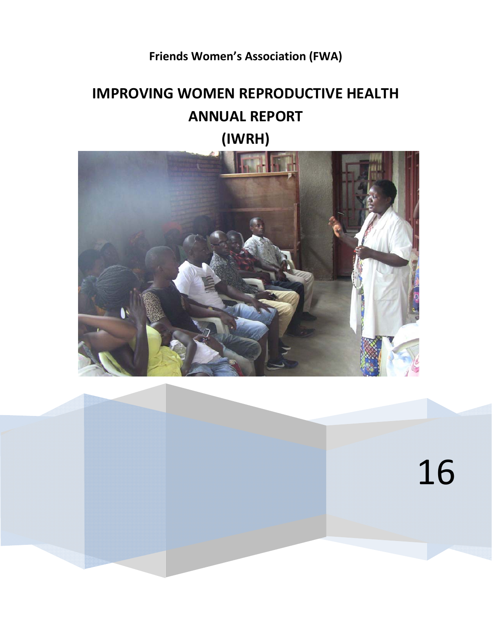# **Friends Women's Association (FWA)**

# **IMPROVING WOMEN REPRODUCTIVE HEALTH ANNUAL REPORT**



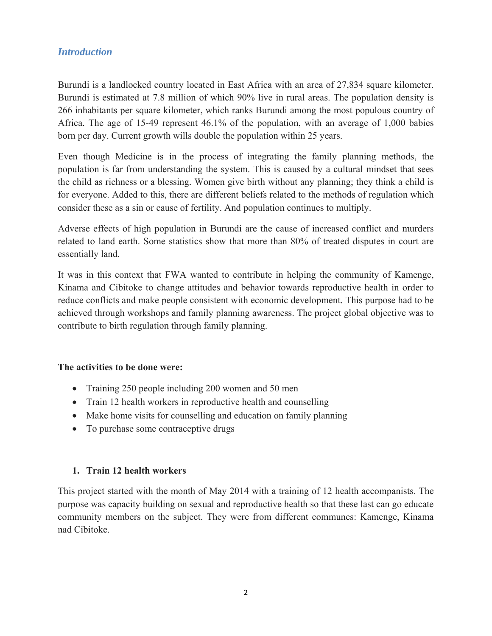# *Introduction*

Burundi is a landlocked country located in East Africa with an area of 27,834 square kilometer. Burundi is estimated at 7.8 million of which 90% live in rural areas. The population density is 266 inhabitants per square kilometer, which ranks Burundi among the most populous country of Africa. The age of 15-49 represent 46.1% of the population, with an average of 1,000 babies born per day. Current growth wills double the population within 25 years.

Even though Medicine is in the process of integrating the family planning methods, the population is far from understanding the system. This is caused by a cultural mindset that sees the child as richness or a blessing. Women give birth without any planning; they think a child is for everyone. Added to this, there are different beliefs related to the methods of regulation which consider these as a sin or cause of fertility. And population continues to multiply.

Adverse effects of high population in Burundi are the cause of increased conflict and murders related to land earth. Some statistics show that more than 80% of treated disputes in court are essentially land.

It was in this context that FWA wanted to contribute in helping the community of Kamenge, Kinama and Cibitoke to change attitudes and behavior towards reproductive health in order to reduce conflicts and make people consistent with economic development. This purpose had to be achieved through workshops and family planning awareness. The project global objective was to contribute to birth regulation through family planning.

## **The activities to be done were:**

- Training 250 people including 200 women and 50 men
- Train 12 health workers in reproductive health and counselling
- Make home visits for counselling and education on family planning
- To purchase some contraceptive drugs

## **1. Train 12 health workers**

This project started with the month of May 2014 with a training of 12 health accompanists. The purpose was capacity building on sexual and reproductive health so that these last can go educate community members on the subject. They were from different communes: Kamenge, Kinama nad Cibitoke.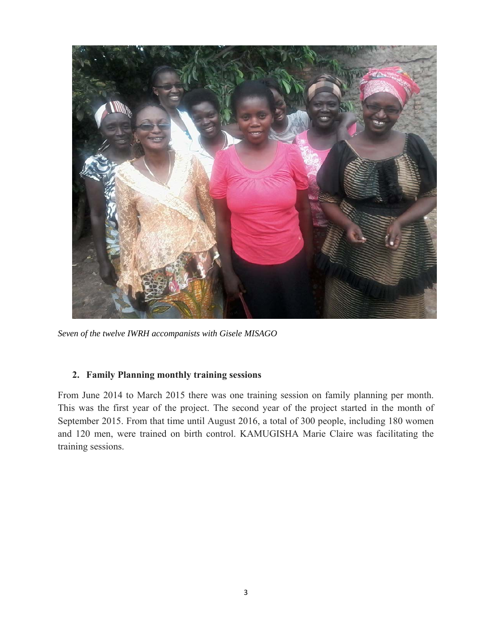

*Seven of the twelve IWRH accompanists with Gisele MISAGO* 

## **2. Family Planning monthly training sessions**

From June 2014 to March 2015 there was one training session on family planning per month. This was the first year of the project. The second year of the project started in the month of September 2015. From that time until August 2016, a total of 300 people, including 180 women and 120 men, were trained on birth control. KAMUGISHA Marie Claire was facilitating the training sessions.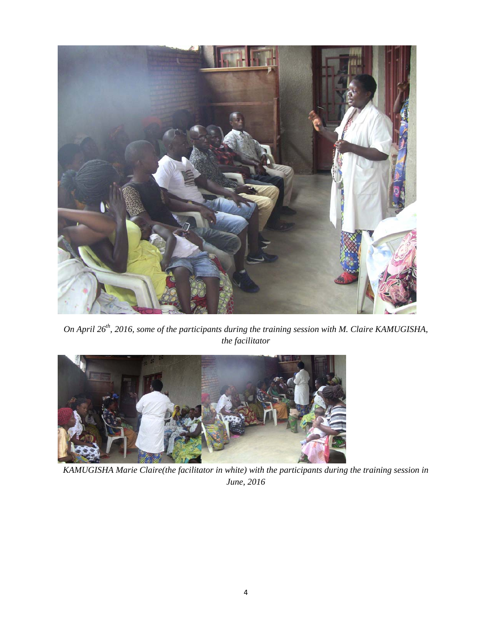

*On April 26<sup>th</sup>, 2016, some of the participants during the training session with M. Claire KAMUGISHA, the facilitator* 



*KAMUGISHA Marie Claire(the facilitator in white) with the participants during the training session in June, 2016*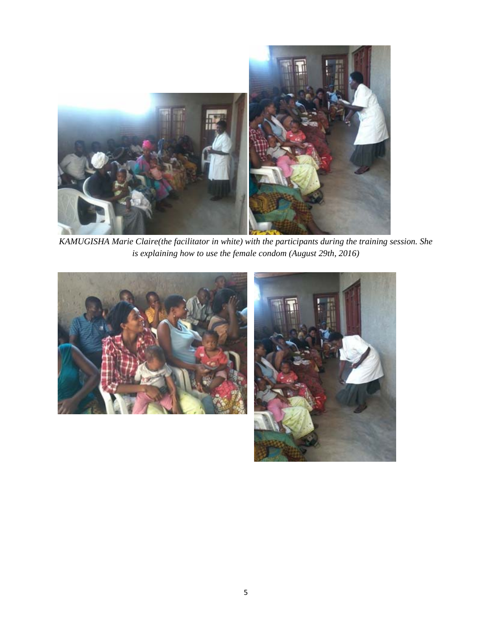

*KAMUGISHA Marie Claire(the facilitator in white) with the participants during the training session. She is explaining how to use the female condom (August 29th, 2016)* 



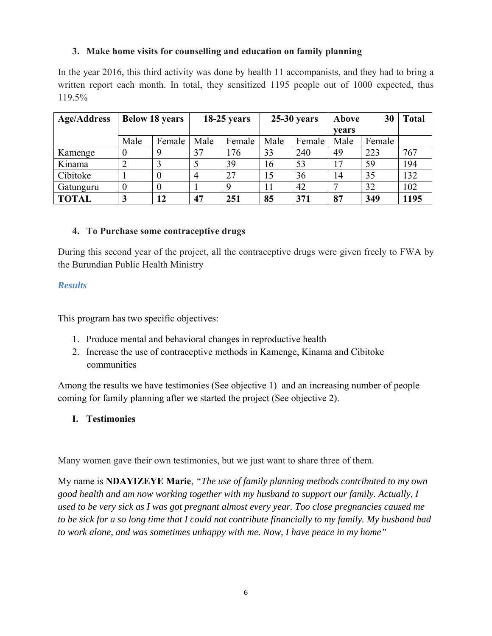# **3. Make home visits for counselling and education on family planning**

In the year 2016, this third activity was done by health 11 accompanists, and they had to bring a written report each month. In total, they sensitized 1195 people out of 1000 expected, thus 119.5%

| <b>Age/Address</b> | <b>Below 18 years</b> |        | $18-25$ years |        | $25-30$ years |        | Above | 30     | <b>Total</b> |
|--------------------|-----------------------|--------|---------------|--------|---------------|--------|-------|--------|--------------|
|                    |                       |        |               |        |               |        | vears |        |              |
|                    | Male                  | Female | Male          | Female | Male          | Female | Male  | Female |              |
| Kamenge            |                       | 9      | 37            | 176    | 33            | 240    | 49    | 223    | 767          |
| Kinama             |                       |        |               | 39     | 16            | 53     | 17    | 59     | 194          |
| Cibitoke           |                       |        | 4             | 27     | 15            | 36     | 14    | 35     | 132          |
| Gatunguru          | 0                     |        |               | 9      | 11            | 42     |       | 32     | 102          |
| <b>TOTAL</b>       | 3                     | 12     | 47            | 251    | 85            | 371    | 87    | 349    | 1195         |

## **4. To Purchase some contraceptive drugs**

During this second year of the project, all the contraceptive drugs were given freely to FWA by the Burundian Public Health Ministry

#### *Results*

This program has two specific objectives:

- 1. Produce mental and behavioral changes in reproductive health
- 2. Increase the use of contraceptive methods in Kamenge, Kinama and Cibitoke communities

Among the results we have testimonies (See objective 1) and an increasing number of people coming for family planning after we started the project (See objective 2).

## **I. Testimonies**

Many women gave their own testimonies, but we just want to share three of them.

My name is **NDAYIZEYE Marie**, *"The use of family planning methods contributed to my own good health and am now working together with my husband to support our family. Actually, I used to be very sick as I was got pregnant almost every year. Too close pregnancies caused me to be sick for a so long time that I could not contribute financially to my family. My husband had to work alone, and was sometimes unhappy with me. Now, I have peace in my home"*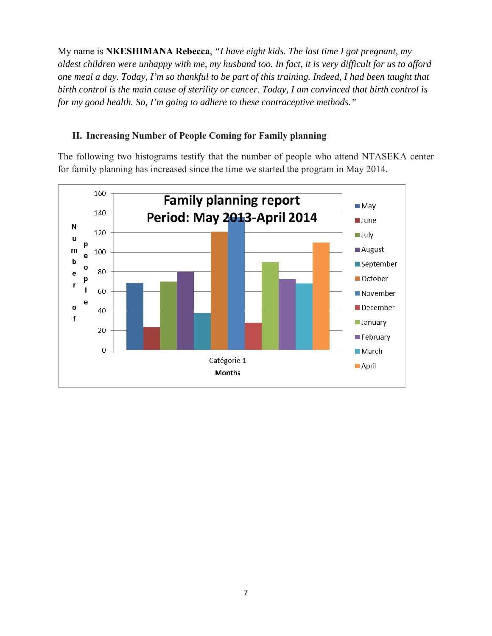My name is **NKESHIMANA Rebecca**, *"I have eight kids. The last time I got pregnant, my oldest children were unhappy with me, my husband too. In fact, it is very difficult for us to afford one meal a day. Today, I'm so thankful to be part of this training. Indeed, I had been taught that birth control is the main cause of sterility or cancer. Today, I am convinced that birth control is for my good health. So, I'm going to adhere to these contraceptive methods."*

# **II. Increasing Number of People Coming for Family planning**

The following two histograms testify that the number of people who attend NTASEKA center for family planning has increased since the time we started the program in May 2014.

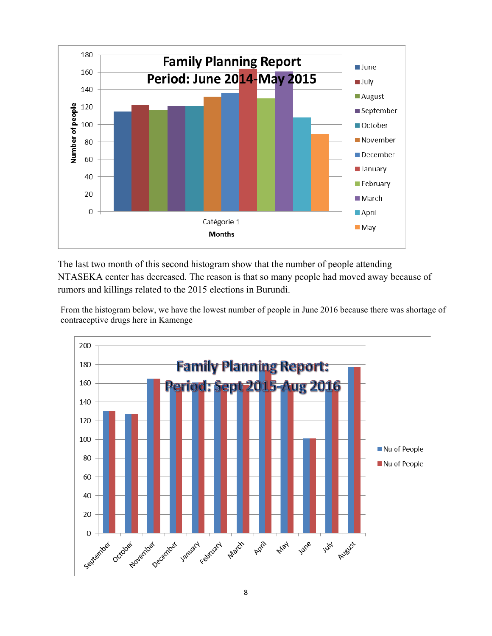

The last two month of this second histogram show that the number of people attending NTASEKA center has decreased. The reason is that so many people had moved away because of rumors and killings related to the 2015 elections in Burundi.

From the histogram below, we have the lowest number of people in June 2016 because there was shortage of contraceptive drugs here in Kamenge